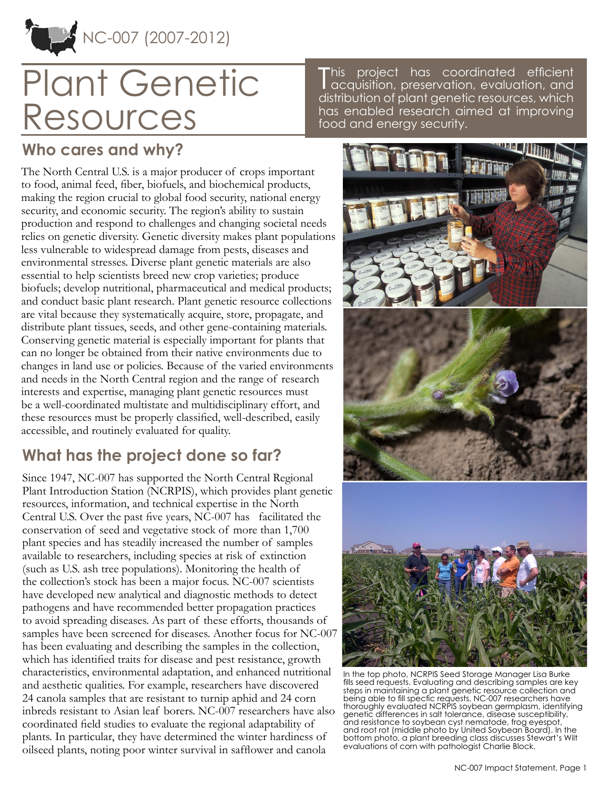

# Plant Genetic Resources

This project has coordinated efficient<br>acquisition, preservation, evaluation, and acquisition, preservation, evaluation, and distribution of plant genetic resources, which has enabled research aimed at improving food and energy security.

#### **Who cares and why?**

The North Central U.S. is a major producer of crops important to food, animal feed, fiber, biofuels, and biochemical products, making the region crucial to global food security, national energy security, and economic security. The region's ability to sustain production and respond to challenges and changing societal needs relies on genetic diversity. Genetic diversity makes plant populations less vulnerable to widespread damage from pests, diseases and environmental stresses. Diverse plant genetic materials are also essential to help scientists breed new crop varieties; produce biofuels; develop nutritional, pharmaceutical and medical products; and conduct basic plant research. Plant genetic resource collections are vital because they systematically acquire, store, propagate, and distribute plant tissues, seeds, and other gene-containing materials. Conserving genetic material is especially important for plants that can no longer be obtained from their native environments due to changes in land use or policies. Because of the varied environments and needs in the North Central region and the range of research interests and expertise, managing plant genetic resources must be a well-coordinated multistate and multidisciplinary effort, and these resources must be properly classified, well-described, easily accessible, and routinely evaluated for quality.

## **What has the project done so far?**

Since 1947, NC-007 has supported the North Central Regional Plant Introduction Station (NCRPIS), which provides plant genetic resources, information, and technical expertise in the North Central U.S. Over the past five years, NC-007 has facilitated the conservation of seed and vegetative stock of more than 1,700 plant species and has steadily increased the number of samples available to researchers, including species at risk of extinction (such as U.S. ash tree populations). Monitoring the health of the collection's stock has been a major focus. NC-007 scientists have developed new analytical and diagnostic methods to detect pathogens and have recommended better propagation practices to avoid spreading diseases. As part of these efforts, thousands of samples have been screened for diseases. Another focus for NC-007 has been evaluating and describing the samples in the collection, which has identified traits for disease and pest resistance, growth characteristics, environmental adaptation, and enhanced nutritional and aesthetic qualities. For example, researchers have discovered 24 canola samples that are resistant to turnip aphid and 24 corn inbreds resistant to Asian leaf borers. NC-007 researchers have also coordinated field studies to evaluate the regional adaptability of plants. In particular, they have determined the winter hardiness of oilseed plants, noting poor winter survival in safflower and canola



In the top photo, NCRPIS Seed Storage Manager Lisa Burke fills seed requests. Evaluating and describing samples are key steps in maintaining a plant genetic resource collection and being able to fill specfic requests. NC-007 researchers have thoroughly evaluated NCRPIS soybean germplasm, identifying genetic differences in salt tolerance, disease susceptibility, and resistance to soybean cyst nematode, frog eyespot, and root rot (middle photo by United Soybean Board). In the bottom photo, a plant breeding class discusses Stewart's Wilt evaluations of corn with pathologist Charlie Block.